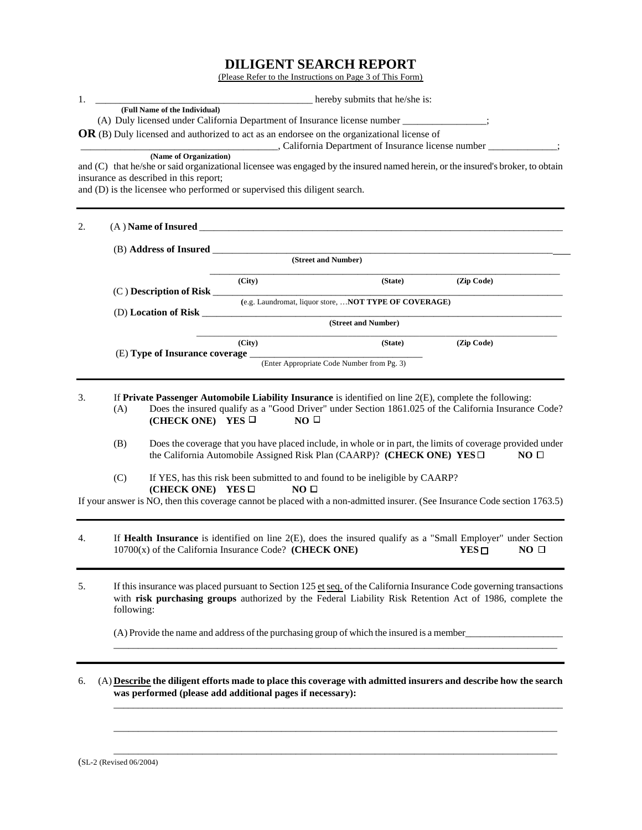# **DILIGENT SEARCH REPORT**

(Please Refer to the Instructions on Page 3 of This Form)

| 1. | hereby submits that he/she is:                                                                                                                                                                                                                                                                                                                 |                 |                                                                                              |                                                                                                                                                                                                                                 |  |  |  |
|----|------------------------------------------------------------------------------------------------------------------------------------------------------------------------------------------------------------------------------------------------------------------------------------------------------------------------------------------------|-----------------|----------------------------------------------------------------------------------------------|---------------------------------------------------------------------------------------------------------------------------------------------------------------------------------------------------------------------------------|--|--|--|
|    | (Full Name of the Individual)                                                                                                                                                                                                                                                                                                                  |                 | (A) Duly licensed under California Department of Insurance license number _____________;     |                                                                                                                                                                                                                                 |  |  |  |
|    |                                                                                                                                                                                                                                                                                                                                                |                 | $OR$ (B) Duly licensed and authorized to act as an endorsee on the organizational license of |                                                                                                                                                                                                                                 |  |  |  |
|    |                                                                                                                                                                                                                                                                                                                                                |                 |                                                                                              | California Department of Insurance license number ____________;                                                                                                                                                                 |  |  |  |
|    | (Name of Organization)                                                                                                                                                                                                                                                                                                                         |                 |                                                                                              | and (C) that he/she or said organizational licensee was engaged by the insured named herein, or the insured's broker, to obtain                                                                                                 |  |  |  |
|    | insurance as described in this report;                                                                                                                                                                                                                                                                                                         |                 |                                                                                              |                                                                                                                                                                                                                                 |  |  |  |
|    | and (D) is the licensee who performed or supervised this diligent search.                                                                                                                                                                                                                                                                      |                 |                                                                                              |                                                                                                                                                                                                                                 |  |  |  |
|    |                                                                                                                                                                                                                                                                                                                                                |                 |                                                                                              |                                                                                                                                                                                                                                 |  |  |  |
| 2. |                                                                                                                                                                                                                                                                                                                                                |                 |                                                                                              |                                                                                                                                                                                                                                 |  |  |  |
|    |                                                                                                                                                                                                                                                                                                                                                |                 |                                                                                              |                                                                                                                                                                                                                                 |  |  |  |
|    |                                                                                                                                                                                                                                                                                                                                                |                 | (Street and Number)                                                                          |                                                                                                                                                                                                                                 |  |  |  |
|    |                                                                                                                                                                                                                                                                                                                                                | (City)          | (State)                                                                                      | (Zip Code)                                                                                                                                                                                                                      |  |  |  |
|    |                                                                                                                                                                                                                                                                                                                                                |                 | (e.g. Laundromat, liquor store,  NOT TYPE OF COVERAGE)                                       |                                                                                                                                                                                                                                 |  |  |  |
|    | (D) Location of Risk                                                                                                                                                                                                                                                                                                                           |                 | (Street and Number)                                                                          |                                                                                                                                                                                                                                 |  |  |  |
|    |                                                                                                                                                                                                                                                                                                                                                |                 |                                                                                              |                                                                                                                                                                                                                                 |  |  |  |
|    | (E) Type of Insurance coverage _                                                                                                                                                                                                                                                                                                               | (City)          | (State)                                                                                      | (Zip Code)                                                                                                                                                                                                                      |  |  |  |
|    |                                                                                                                                                                                                                                                                                                                                                |                 | (Enter Appropriate Code Number from Pg. 3)                                                   |                                                                                                                                                                                                                                 |  |  |  |
|    |                                                                                                                                                                                                                                                                                                                                                |                 |                                                                                              |                                                                                                                                                                                                                                 |  |  |  |
|    | (A)<br>(CHECK ONE) YES $\Box$<br>(B)                                                                                                                                                                                                                                                                                                           | NO <sub>0</sub> | the California Automobile Assigned Risk Plan (CAARP)? (CHECK ONE) YES                        | Does the insured qualify as a "Good Driver" under Section 1861.025 of the California Insurance Code?<br>Does the coverage that you have placed include, in whole or in part, the limits of coverage provided under<br>$NO \Box$ |  |  |  |
|    | (C)                                                                                                                                                                                                                                                                                                                                            |                 | If YES, has this risk been submitted to and found to be ineligible by CAARP?                 |                                                                                                                                                                                                                                 |  |  |  |
|    | (CHECK ONE) YES $\Box$                                                                                                                                                                                                                                                                                                                         | NO <sub>0</sub> |                                                                                              |                                                                                                                                                                                                                                 |  |  |  |
|    |                                                                                                                                                                                                                                                                                                                                                |                 |                                                                                              | If your answer is NO, then this coverage cannot be placed with a non-admitted insurer. (See Insurance Code section 1763.5)                                                                                                      |  |  |  |
| 4. | 10700(x) of the California Insurance Code? (CHECK ONE)                                                                                                                                                                                                                                                                                         |                 |                                                                                              | If Health Insurance is identified on line $2(E)$ , does the insured qualify as a "Small Employer" under Section<br>$YES \Box$<br>$NO \Box$                                                                                      |  |  |  |
| 5. | If this insurance was placed pursuant to Section 125 $et seq$ , of the California Insurance Code governing transactions<br>with risk purchasing groups authorized by the Federal Liability Risk Retention Act of 1986, complete the<br>following:<br>(A) Provide the name and address of the purchasing group of which the insured is a member |                 |                                                                                              |                                                                                                                                                                                                                                 |  |  |  |
|    |                                                                                                                                                                                                                                                                                                                                                |                 |                                                                                              |                                                                                                                                                                                                                                 |  |  |  |
| 6. | was performed (please add additional pages if necessary):                                                                                                                                                                                                                                                                                      |                 |                                                                                              | (A) Describe the diligent efforts made to place this coverage with admitted insurers and describe how the search                                                                                                                |  |  |  |

\_\_\_\_\_\_\_\_\_\_\_\_\_\_\_\_\_\_\_\_\_\_\_\_\_\_\_\_\_\_\_\_\_\_\_\_\_\_\_\_\_\_\_\_\_\_\_\_\_\_\_\_\_\_\_\_\_\_\_\_\_\_\_\_\_\_\_\_\_\_\_\_\_\_\_\_\_\_\_\_\_\_\_\_\_\_\_\_\_\_

(SL-2 (Revised 06/2004)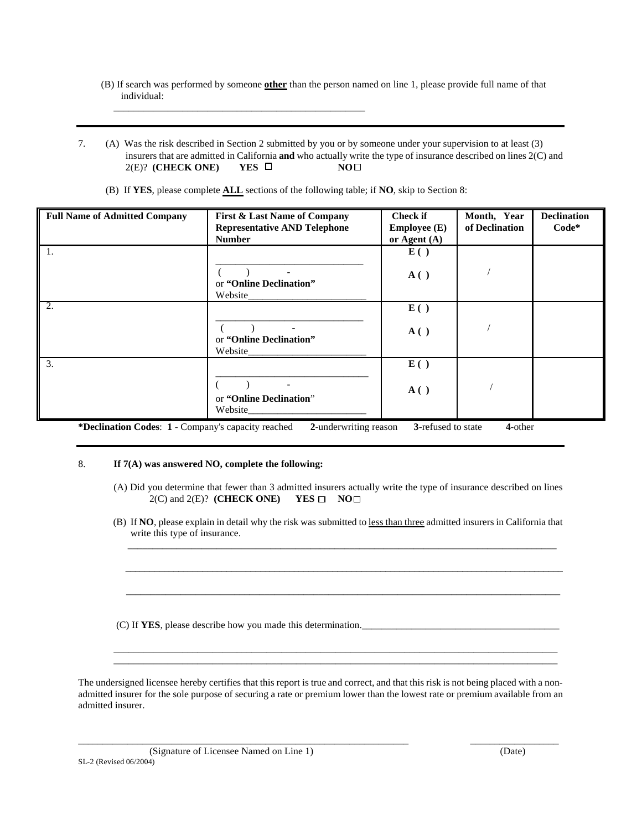- (B) If search was performed by someone **other** than the person named on line 1, please provide full name of that individual: \_\_\_\_\_\_\_\_\_\_\_\_\_\_\_\_\_\_\_\_\_\_\_\_\_\_\_\_\_\_\_\_\_\_\_\_\_\_\_\_\_\_\_\_\_\_\_\_\_\_\_
- 7. (A) Was the risk described in Section 2 submitted by you or by someone under your supervision to at least (3) insurers that are admitted in California **and** who actually write the type of insurance described on lines 2(C) and 2(E)? **(CHECK ONE)** YES  $\Box$  NO
	- (B) If **YES**, please complete **ALL** sections of the following table; if **NO**, skip to Section 8:

| <b>Full Name of Admitted Company</b> | <b>First &amp; Last Name of Company</b><br><b>Representative AND Telephone</b><br><b>Number</b> | <b>Check if</b><br><b>Employee (E)</b><br>or Agent (A) | Month, Year<br>of Declination | <b>Declination</b><br>$Code*$ |
|--------------------------------------|-------------------------------------------------------------------------------------------------|--------------------------------------------------------|-------------------------------|-------------------------------|
| 1.                                   | or "Online Declination"<br>Website                                                              | E()<br>A()                                             |                               |                               |
| $\overline{2}$ .                     | or "Online Declination"<br>Website                                                              | E()<br>A()                                             |                               |                               |
| 3.                                   | or "Online Declination"<br>Website                                                              | E( )<br>$\mathbf{A}$ ( )                               |                               |                               |

**\*Declination Codes**: **1** - Company's capacity reached **2**-underwriting reason **3**-refused to state **4**-other

### 8. **If 7(A) was answered NO, complete the following:**

(A) Did you determine that fewer than 3 admitted insurers actually write the type of insurance described on lines  $2(C)$  and  $2(E)$ ? **(CHECK ONE)** YES  $\Box$  NO $\Box$ 

(B) If **NO**, please explain in detail why the risk was submitted to less than three admitted insurers in California that write this type of insurance. \_\_\_\_\_\_\_\_\_\_\_\_\_\_\_\_\_\_\_\_\_\_\_\_\_\_\_\_\_\_\_\_\_\_\_\_\_\_\_\_\_\_\_\_\_\_\_\_\_\_\_\_\_\_\_\_\_\_\_\_\_\_\_\_\_\_\_\_\_\_\_\_\_\_\_\_\_\_\_\_\_\_\_\_\_\_\_

\_\_\_\_\_\_\_\_\_\_\_\_\_\_\_\_\_\_\_\_\_\_\_\_\_\_\_\_\_\_\_\_\_\_\_\_\_\_\_\_\_\_\_\_\_\_\_\_\_\_\_\_\_\_\_\_\_\_\_\_\_\_\_\_\_\_\_\_\_\_\_\_\_\_\_\_\_\_\_\_\_\_\_\_\_\_\_\_\_\_\_

\_\_\_\_\_\_\_\_\_\_\_\_\_\_\_\_\_\_\_\_\_\_\_\_\_\_\_\_\_\_\_\_\_\_\_\_\_\_\_\_\_\_\_\_\_\_\_\_\_\_\_\_\_\_\_\_\_\_\_\_\_\_\_\_\_\_\_\_\_\_\_\_\_\_\_\_\_\_\_\_\_\_\_\_\_\_\_\_

\_\_\_\_\_\_\_\_\_\_\_\_\_\_\_\_\_\_\_\_\_\_\_\_\_\_\_\_\_\_\_\_\_\_\_\_\_\_\_\_\_\_\_\_\_\_\_\_\_\_\_\_\_\_\_\_\_\_\_\_\_\_\_\_\_\_\_\_\_\_\_\_\_\_\_\_\_\_\_\_\_\_\_\_\_\_\_\_\_\_ \_\_\_\_\_\_\_\_\_\_\_\_\_\_\_\_\_\_\_\_\_\_\_\_\_\_\_\_\_\_\_\_\_\_\_\_\_\_\_\_\_\_\_\_\_\_\_\_\_\_\_\_\_\_\_\_\_\_\_\_\_\_\_\_\_\_\_\_\_\_\_\_\_\_\_\_\_\_\_\_\_\_\_\_\_\_\_\_\_\_

(C) If **YES**, please describe how you made this determination.\_\_\_\_\_\_\_\_\_\_\_\_\_\_\_\_\_\_\_\_\_\_\_\_\_\_\_\_\_\_\_\_\_\_\_\_\_\_\_\_

The undersigned licensee hereby certifies that this report is true and correct, and that this risk is not being placed with a nonadmitted insurer for the sole purpose of securing a rate or premium lower than the lowest rate or premium available from an admitted insurer.

\_\_\_\_\_\_\_\_\_\_\_\_\_\_\_\_\_\_\_\_\_\_\_\_\_\_\_\_\_\_\_\_\_\_\_\_\_\_\_\_\_\_\_\_\_\_\_\_\_\_\_\_\_\_\_\_\_\_\_\_\_\_\_\_\_\_\_ \_\_\_\_\_\_\_\_\_\_\_\_\_\_\_\_\_\_

(Signature of Licensee Named on Line 1) (Date) SL-2 (Revised 06/2004)